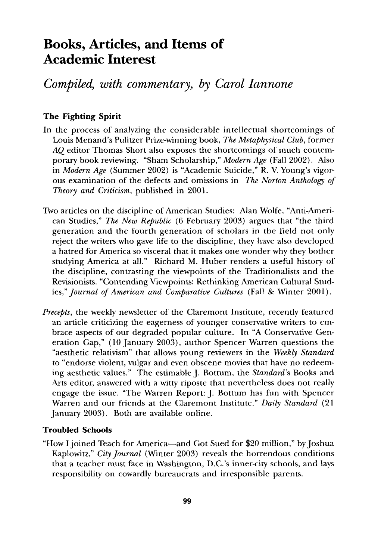# **Books, Articles, and Items of Academic Interest**

## *Compiled, with commentary, by Carol Iannone*

### **The Fighting Spirit**

- In the process of analyzing the considerable intellectual shortcomings of Louis Menand's Pulitzer Prize-winning book, *The Metaphysical Club,* former *AQ* editor Thomas Short also exposes the shortcomings of much contemporary book reviewing. "Sham Scholarship," *Modern Age* (Fall 2002). Also in *Modern Age* (Summer 2002) is "Academic Suicide," R. V. Young's vigorous examination of the defects and omissions in *The Norton Anthology of Theory and Criticism,* published in 2001.
- Two articles on the discipline of American Studies: Alan Wolfe, "Anti-American Studies," *The New Republic* (6 February 2003) argues that "the third generation and the fourth generation of scholars in the field not only reject the writers who gave life to the discipline, they have also developed a hatred for America so visceral that it makes one wonder why they bother studying America at all." Richard M. Huber renders a useful history of the discipline, contrasting the viewpoints of the Traditionalists and the Revisionists. "Contending Viewpoints: Rethinking American Cultural Studies," Journal of American and Comparative Cultures (Fall & Winter 2001).
- *Precepts,* the weekly newsletter of the Claremont Institute, recently featured an article criticizing the eagerness of younger conservative writers to embrace aspects of our degraded popular culture. In "A Conservative Generation Gap," (10 January 2003), author Spencer Warren questions the "aesthetic relativism" that allows young reviewers in the *Weekly Standard*  to "endorse violent, vulgar and even obscene movies that have no redeeming aesthetic values." The estimable J. Bottum, the *Standard's* Books and Arts editor, answered with a witty riposte that nevertheless does not really engage the issue. "The Warren Report: J. Bottum has fun with Spencer Warren and our friends at the Claremont Institute." *Daily Standard* (21 January 2003). Both are available online.

#### **Troubled Schools**

"How I joined Teach for America--and Got Sued for \$20 million," by Joshua Kaplowitz," *City Journal* (Winter 2003) reveals the horrendous conditions that a teacher must face in Washington, D.C.'s inner-city schools, and lays responsibility on cowardly bureaucrats and irresponsible parents.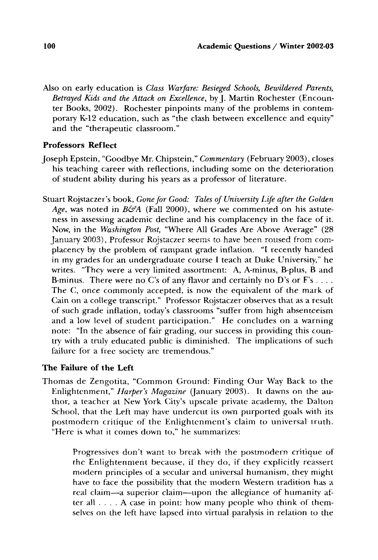Also on early education is *Class Warfare: Besieged Schools, Bewildered Parents, Betrayed Kids and the Attack on Excellence,* byJ. Martin Rochester (Encounter Books, 2002). Rochester pinpoints many of the problems in contemporary K-12 education, such as "the clash between excellence and equity" and the "therapeutic classroom."

#### **Professors Reflect**

- Joseph Epstein, "Goodbye Mr. Chipstein," *Commentary* (February 2003), closes his teaching career with reflections, including some on the deterioration of student ability during his years as a professor of literature.
- Stuart Rojstaczer's book, *Gone for Good: Tales of University Life after the Golden*  Age, was noted in *B&A* (Fall 2000), where we commented on his astuteness in assessing academic decline and his complacency in the face of it. Now, in the *Washington Post,* "Where All Grades Are Above Average" (28 January 2003), Professor Rojstaczer seems to have been roused from complacency by the problem of rampant grade inflation. "I recently handed in my grades for an undergraduate course I teach at Duke University," he writes. "They were a very limited assortment: A, A-minus, B-plus, B and B-minus. There were no C's of any flavor and certainly no D's or  $F$ 's .... The C, once commonly accepted, is now the equivalent of the mark of Cain on a college transcript." Professor Rojstaczer observes that as a result of such grade inflation, today's classrooms "suffer from high absenteeism and a low level of student participation." He concludes on a warning note: "In the absence of fair grading, our success in providing this country with a truly educated public is diminished. The implications of such failure for a free society are tremendous."

#### **The Failure of the Left**

Thomas de Zengotita, "Common Ground: Finding Our Way Back to the Enlightenment," *Harper's Magazine* (January 2003). It dawns on the author, a teacher at New York City's upscale private academy, the Dalton School, that the Left may have undercut its own purported goals with its postmodern critique of the Enlightenment's claim to universal truth. "Here is what il comes down to," he summarizes:

> Progressives don't want to break with the postmodern critique of the Enlightenment because, if they do, if they explicitly reassert modern principles of a secular and universal humanism, they might have to face the possibility that the modern Western tradition has a real claim--a superior claim--upon the allegiance of humanity after all .... A case in point: how many people who think of themselves on the left have lapsed into virtual paralysis in relation to the